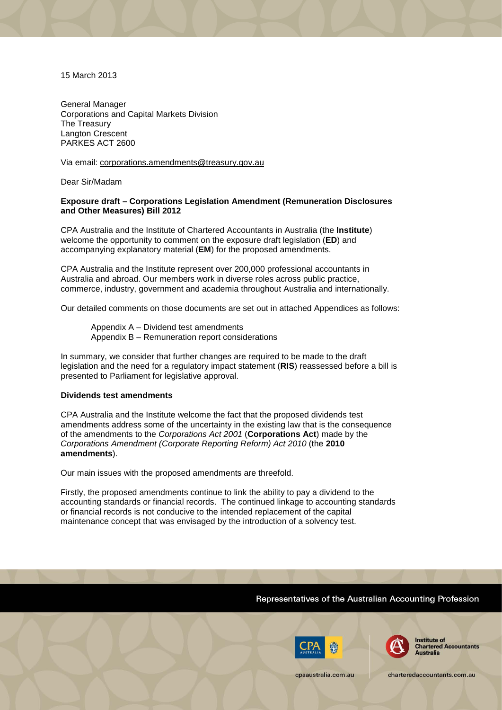15 March 2013

General Manager Corporations and Capital Markets Division The Treasury Langton Crescent PARKES ACT 2600

Via email: corporations.amendments@treasury.gov.au

Dear Sir/Madam

# **Exposure draft – Corporations Legislation Amendment (Remuneration Disclosures and Other Measures) Bill 2012**

CPA Australia and the Institute of Chartered Accountants in Australia (the **Institute**) welcome the opportunity to comment on the exposure draft legislation (**ED**) and accompanying explanatory material (**EM**) for the proposed amendments.

CPA Australia and the Institute represent over 200,000 professional accountants in Australia and abroad. Our members work in diverse roles across public practice, commerce, industry, government and academia throughout Australia and internationally.

Our detailed comments on those documents are set out in attached Appendices as follows:

Appendix A – Dividend test amendments Appendix B – Remuneration report considerations

In summary, we consider that further changes are required to be made to the draft legislation and the need for a regulatory impact statement (**RIS**) reassessed before a bill is presented to Parliament for legislative approval.

## **Dividends test amendments**

CPA Australia and the Institute welcome the fact that the proposed dividends test amendments address some of the uncertainty in the existing law that is the consequence of the amendments to the *Corporations Act 2001* (**Corporations Act**) made by the *Corporations Amendment (Corporate Reporting Reform) Act 2010* (the **2010 amendments**).

Our main issues with the proposed amendments are threefold.

Firstly, the proposed amendments continue to link the ability to pay a dividend to the accounting standards or financial records. The continued linkage to accounting standards or financial records is not conducive to the intended replacement of the capital maintenance concept that was envisaged by the introduction of a solvency test.

# Representatives of the Australian Accounting Profession





**Institute of Chartered Accountants Australia** 

charteredaccountants.com.au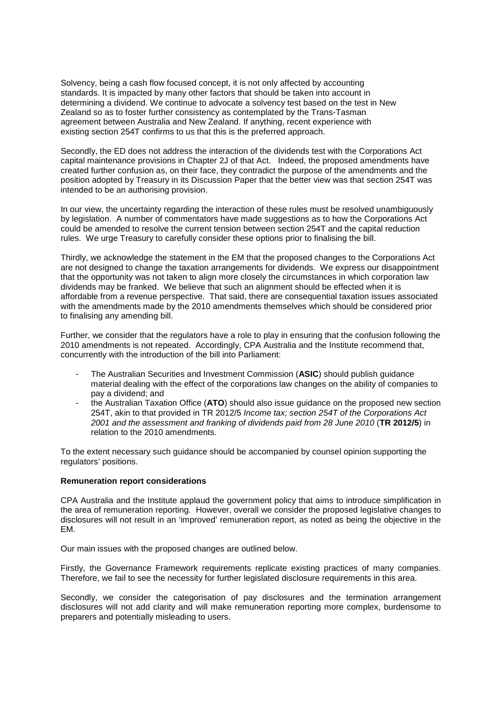Solvency, being a cash flow focused concept, it is not only affected by accounting standards. It is impacted by many other factors that should be taken into account in determining a dividend. We continue to advocate a solvency test based on the test in New Zealand so as to foster further consistency as contemplated by the Trans-Tasman agreement between Australia and New Zealand. If anything, recent experience with existing section 254T confirms to us that this is the preferred approach.

Secondly, the ED does not address the interaction of the dividends test with the Corporations Act capital maintenance provisions in Chapter 2J of that Act. Indeed, the proposed amendments have created further confusion as, on their face, they contradict the purpose of the amendments and the position adopted by Treasury in its Discussion Paper that the better view was that section 254T was intended to be an authorising provision.

In our view, the uncertainty regarding the interaction of these rules must be resolved unambiguously by legislation. A number of commentators have made suggestions as to how the Corporations Act could be amended to resolve the current tension between section 254T and the capital reduction rules. We urge Treasury to carefully consider these options prior to finalising the bill.

Thirdly, we acknowledge the statement in the EM that the proposed changes to the Corporations Act are not designed to change the taxation arrangements for dividends. We express our disappointment that the opportunity was not taken to align more closely the circumstances in which corporation law dividends may be franked. We believe that such an alignment should be effected when it is affordable from a revenue perspective. That said, there are consequential taxation issues associated with the amendments made by the 2010 amendments themselves which should be considered prior to finalising any amending bill.

Further, we consider that the regulators have a role to play in ensuring that the confusion following the 2010 amendments is not repeated. Accordingly, CPA Australia and the Institute recommend that, concurrently with the introduction of the bill into Parliament:

- The Australian Securities and Investment Commission (**ASIC**) should publish guidance material dealing with the effect of the corporations law changes on the ability of companies to pay a dividend; and
- the Australian Taxation Office (**ATO**) should also issue guidance on the proposed new section 254T, akin to that provided in TR 2012/5 *Income tax; section 254T of the Corporations Act 2001 and the assessment and franking of dividends paid from 28 June 2010* (**TR 2012/5**) in relation to the 2010 amendments.

To the extent necessary such guidance should be accompanied by counsel opinion supporting the regulators' positions.

# **Remuneration report considerations**

CPA Australia and the Institute applaud the government policy that aims to introduce simplification in the area of remuneration reporting. However, overall we consider the proposed legislative changes to disclosures will not result in an 'improved' remuneration report, as noted as being the objective in the EM.

Our main issues with the proposed changes are outlined below.

Firstly, the Governance Framework requirements replicate existing practices of many companies. Therefore, we fail to see the necessity for further legislated disclosure requirements in this area.

Secondly, we consider the categorisation of pay disclosures and the termination arrangement disclosures will not add clarity and will make remuneration reporting more complex, burdensome to preparers and potentially misleading to users.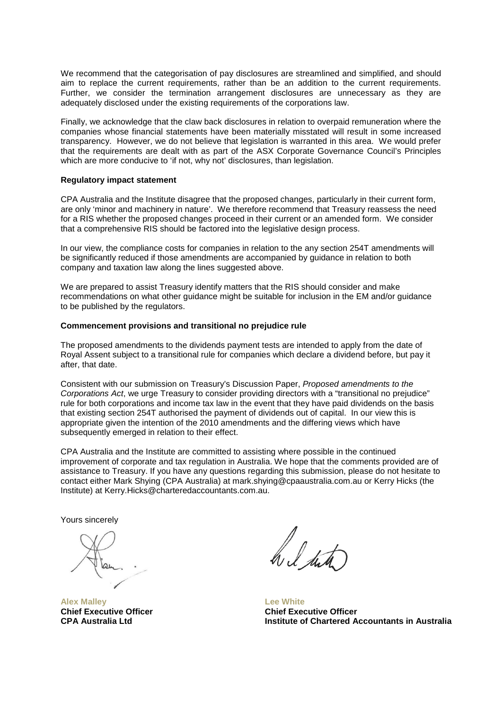We recommend that the categorisation of pay disclosures are streamlined and simplified, and should aim to replace the current requirements, rather than be an addition to the current requirements. Further, we consider the termination arrangement disclosures are unnecessary as they are adequately disclosed under the existing requirements of the corporations law.

Finally, we acknowledge that the claw back disclosures in relation to overpaid remuneration where the companies whose financial statements have been materially misstated will result in some increased transparency. However, we do not believe that legislation is warranted in this area. We would prefer that the requirements are dealt with as part of the ASX Corporate Governance Council's Principles which are more conducive to 'if not, why not' disclosures, than legislation.

# **Regulatory impact statement**

CPA Australia and the Institute disagree that the proposed changes, particularly in their current form, are only 'minor and machinery in nature'. We therefore recommend that Treasury reassess the need for a RIS whether the proposed changes proceed in their current or an amended form. We consider that a comprehensive RIS should be factored into the legislative design process.

In our view, the compliance costs for companies in relation to the any section 254T amendments will be significantly reduced if those amendments are accompanied by guidance in relation to both company and taxation law along the lines suggested above.

We are prepared to assist Treasury identify matters that the RIS should consider and make recommendations on what other guidance might be suitable for inclusion in the EM and/or guidance to be published by the regulators.

## **Commencement provisions and transitional no prejudice rule**

The proposed amendments to the dividends payment tests are intended to apply from the date of Royal Assent subject to a transitional rule for companies which declare a dividend before, but pay it after, that date.

Consistent with our submission on Treasury's Discussion Paper, *Proposed amendments to the Corporations Act*, we urge Treasury to consider providing directors with a "transitional no prejudice" rule for both corporations and income tax law in the event that they have paid dividends on the basis that existing section 254T authorised the payment of dividends out of capital. In our view this is appropriate given the intention of the 2010 amendments and the differing views which have subsequently emerged in relation to their effect.

CPA Australia and the Institute are committed to assisting where possible in the continued improvement of corporate and tax regulation in Australia. We hope that the comments provided are of assistance to Treasury. If you have any questions regarding this submission, please do not hesitate to contact either Mark Shying (CPA Australia) at [mark.shying@cpaaustralia.com.au](mailto:mark.shying@cpaaustralia.com.au) or Kerry Hicks (the Institute) at [Kerry.Hicks@charteredaccountants.com.au.](mailto:Kerry.Hicks@charteredaccountants.com.au)

Yours sincerely

**Alex Malley Chief Executive Officer CPA Australia Ltd**

h, l stat

**Lee White Chief Executive Officer Institute of Chartered Accountants in Australia**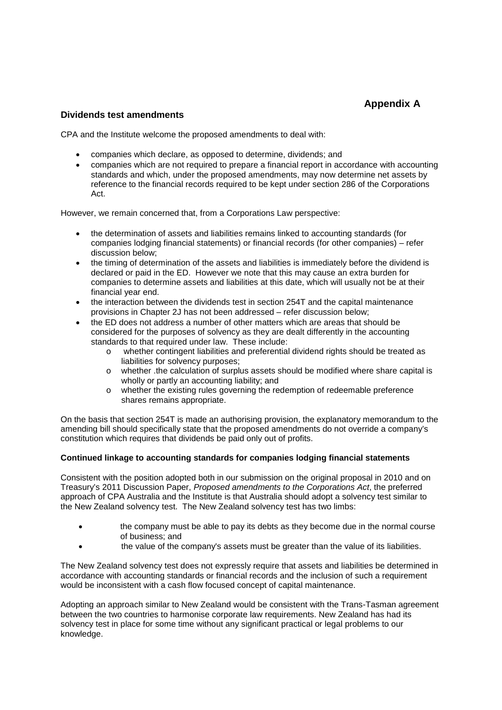# **Appendix A**

# **Dividends test amendments**

CPA and the Institute welcome the proposed amendments to deal with:

- companies which declare, as opposed to determine, dividends; and
- companies which are not required to prepare a financial report in accordance with accounting standards and which, under the proposed amendments, may now determine net assets by reference to the financial records required to be kept under section 286 of the Corporations Act.

However, we remain concerned that, from a Corporations Law perspective:

- the determination of assets and liabilities remains linked to accounting standards (for companies lodging financial statements) or financial records (for other companies) – refer discussion below;
- the timing of determination of the assets and liabilities is immediately before the dividend is declared or paid in the ED. However we note that this may cause an extra burden for companies to determine assets and liabilities at this date, which will usually not be at their financial year end.
- the interaction between the dividends test in section 254T and the capital maintenance provisions in Chapter 2J has not been addressed – refer discussion below;
- the ED does not address a number of other matters which are areas that should be considered for the purposes of solvency as they are dealt differently in the accounting standards to that required under law. These include:
	- o whether contingent liabilities and preferential dividend rights should be treated as liabilities for solvency purposes;
	- o whether .the calculation of surplus assets should be modified where share capital is wholly or partly an accounting liability; and
	- o whether the existing rules governing the redemption of redeemable preference shares remains appropriate.

On the basis that section 254T is made an authorising provision, the explanatory memorandum to the amending bill should specifically state that the proposed amendments do not override a company's constitution which requires that dividends be paid only out of profits.

# **Continued linkage to accounting standards for companies lodging financial statements**

Consistent with the position adopted both in our submission on the original proposal in 2010 and on Treasury's 2011 Discussion Paper, *Proposed amendments to the Corporations Act*, the preferred approach of CPA Australia and the Institute is that Australia should adopt a solvency test similar to the New Zealand solvency test. The New Zealand solvency test has two limbs:

- the company must be able to pay its debts as they become due in the normal course of business; and
- the value of the company's assets must be greater than the value of its liabilities.

The New Zealand solvency test does not expressly require that assets and liabilities be determined in accordance with accounting standards or financial records and the inclusion of such a requirement would be inconsistent with a cash flow focused concept of capital maintenance.

Adopting an approach similar to New Zealand would be consistent with the Trans-Tasman agreement between the two countries to harmonise corporate law requirements. New Zealand has had its solvency test in place for some time without any significant practical or legal problems to our knowledge.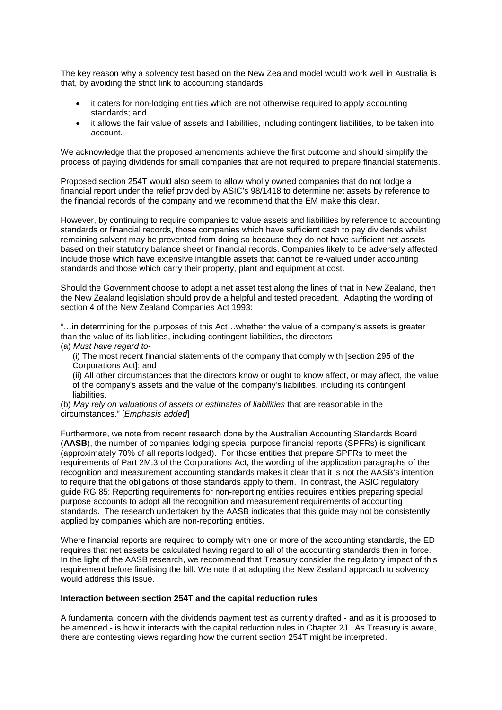The key reason why a solvency test based on the New Zealand model would work well in Australia is that, by avoiding the strict link to accounting standards:

- it caters for non-lodging entities which are not otherwise required to apply accounting standards; and
- it allows the fair value of assets and liabilities, including contingent liabilities, to be taken into account.

We acknowledge that the proposed amendments achieve the first outcome and should simplify the process of paying dividends for small companies that are not required to prepare financial statements.

Proposed section 254T would also seem to allow wholly owned companies that do not lodge a financial report under the relief provided by ASIC's 98/1418 to determine net assets by reference to the financial records of the company and we recommend that the EM make this clear.

However, by continuing to require companies to value assets and liabilities by reference to accounting standards or financial records, those companies which have sufficient cash to pay dividends whilst remaining solvent may be prevented from doing so because they do not have sufficient net assets based on their statutory balance sheet or financial records. Companies likely to be adversely affected include those which have extensive intangible assets that cannot be re-valued under accounting standards and those which carry their property, plant and equipment at cost.

Should the Government choose to adopt a net asset test along the lines of that in New Zealand, then the New Zealand legislation should provide a helpful and tested precedent. Adapting the wording of section 4 of the New Zealand Companies Act 1993:

"…in determining for the purposes of this Act…whether the value of a company's assets is greater than the value of its liabilities, including contingent liabilities, the directors- (a) *Must have regard to*-

(i) The most recent financial statements of the company that comply with [section 295 of the Corporations Act]; and

(ii) All other circumstances that the directors know or ought to know affect, or may affect, the value of the company's assets and the value of the company's liabilities, including its contingent liabilities.

(b) *May rely on valuations of assets or estimates of liabilities* that are reasonable in the circumstances." [*Emphasis added*]

Furthermore, we note from recent research done by the Australian Accounting Standards Board (**AASB**), the number of companies lodging special purpose financial reports (SPFRs) is significant (approximately 70% of all reports lodged). For those entities that prepare SPFRs to meet the requirements of Part 2M.3 of the Corporations Act, the wording of the application paragraphs of the recognition and measurement accounting standards makes it clear that it is not the AASB's intention to require that the obligations of those standards apply to them. In contrast, the ASIC regulatory guide RG 85: Reporting requirements for non-reporting entities requires entities preparing special purpose accounts to adopt all the recognition and measurement requirements of accounting standards. The research undertaken by the AASB indicates that this guide may not be consistently applied by companies which are non-reporting entities.

Where financial reports are required to comply with one or more of the accounting standards, the ED requires that net assets be calculated having regard to all of the accounting standards then in force. In the light of the AASB research, we recommend that Treasury consider the regulatory impact of this requirement before finalising the bill. We note that adopting the New Zealand approach to solvency would address this issue.

#### **Interaction between section 254T and the capital reduction rules**

A fundamental concern with the dividends payment test as currently drafted - and as it is proposed to be amended - is how it interacts with the capital reduction rules in Chapter 2J. As Treasury is aware, there are contesting views regarding how the current section 254T might be interpreted.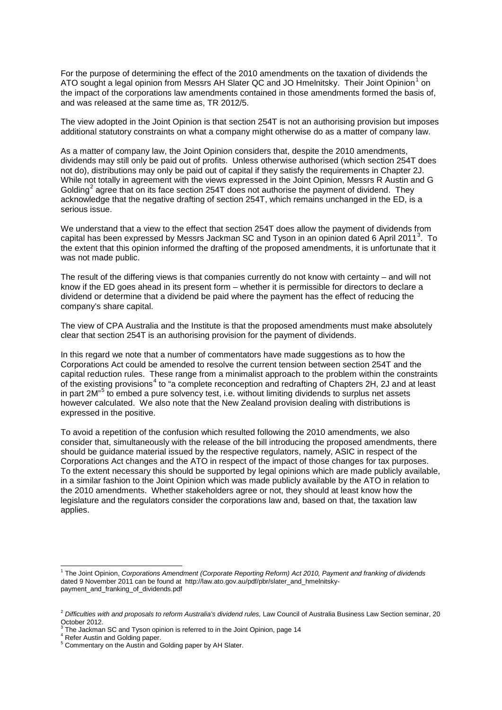For the purpose of determining the effect of the 2010 amendments on the taxation of dividends the ATO sought a legal opinion from Messrs AH Slater QC and JO Hmelnitsky. Their Joint Opinion<sup>[1](#page-5-0)</sup> on the impact of the corporations law amendments contained in those amendments formed the basis of, and was released at the same time as, TR 2012/5.

The view adopted in the Joint Opinion is that section 254T is not an authorising provision but imposes additional statutory constraints on what a company might otherwise do as a matter of company law.

As a matter of company law, the Joint Opinion considers that, despite the 2010 amendments, dividends may still only be paid out of profits. Unless otherwise authorised (which section 254T does not do), distributions may only be paid out of capital if they satisfy the requirements in Chapter 2J. While not totally in agreement with the views expressed in the Joint Opinion, Messrs R Austin and G Golding<sup>[2](#page-5-1)</sup> agree that on its face section 254T does not authorise the payment of dividend. They acknowledge that the negative drafting of section 254T, which remains unchanged in the ED, is a serious issue.

We understand that a view to the effect that section 254T does allow the payment of dividends from capital has been expressed by Messrs Jackman SC and Tyson in an opinion dated 6 April 2011<sup>[3](#page-5-2)</sup>. To the extent that this opinion informed the drafting of the proposed amendments, it is unfortunate that it was not made public.

The result of the differing views is that companies currently do not know with certainty – and will not know if the ED goes ahead in its present form – whether it is permissible for directors to declare a dividend or determine that a dividend be paid where the payment has the effect of reducing the company's share capital.

The view of CPA Australia and the Institute is that the proposed amendments must make absolutely clear that section 254T is an authorising provision for the payment of dividends.

In this regard we note that a number of commentators have made suggestions as to how the Corporations Act could be amended to resolve the current tension between section 254T and the capital reduction rules. These range from a minimalist approach to the problem within the constraints of the existing provisions[4](#page-5-3) to "a complete reconception and redrafting of Chapters 2H, 2J and at least in part 2M"[5](#page-5-4) to embed a pure solvency test, i.e. without limiting dividends to surplus net assets however calculated. We also note that the New Zealand provision dealing with distributions is expressed in the positive.

To avoid a repetition of the confusion which resulted following the 2010 amendments, we also consider that, simultaneously with the release of the bill introducing the proposed amendments, there should be guidance material issued by the respective regulators, namely, ASIC in respect of the Corporations Act changes and the ATO in respect of the impact of those changes for tax purposes. To the extent necessary this should be supported by legal opinions which are made publicly available, in a similar fashion to the Joint Opinion which was made publicly available by the ATO in relation to the 2010 amendments. Whether stakeholders agree or not, they should at least know how the legislature and the regulators consider the corporations law and, based on that, the taxation law applies.

<span id="page-5-0"></span> <sup>1</sup> The Joint Opinion, *Corporations Amendment (Corporate Reporting Reform) Act 2010, Payment and franking of dividends*  dated 9 November 2011 can be found at [http://law.ato.gov.au/pdf/pbr/slater\\_and\\_hmelnitsky](http://law.ato.gov.au/pdf/pbr/slater_and_hmelnitsky-payment_and_franking_of_dividends.pdf)payment and franking of dividends.pdf

<span id="page-5-1"></span><sup>&</sup>lt;sup>2</sup> Difficulties with and proposals to reform Australia's dividend rules, Law Council of Australia Business Law Section seminar, 20 October 2012.

The Jackman SC and Tyson opinion is referred to in the Joint Opinion, page 14

<span id="page-5-2"></span><sup>4</sup> Refer Austin and Golding paper.

<span id="page-5-4"></span><span id="page-5-3"></span><sup>5</sup> Commentary on the Austin and Golding paper by AH Slater.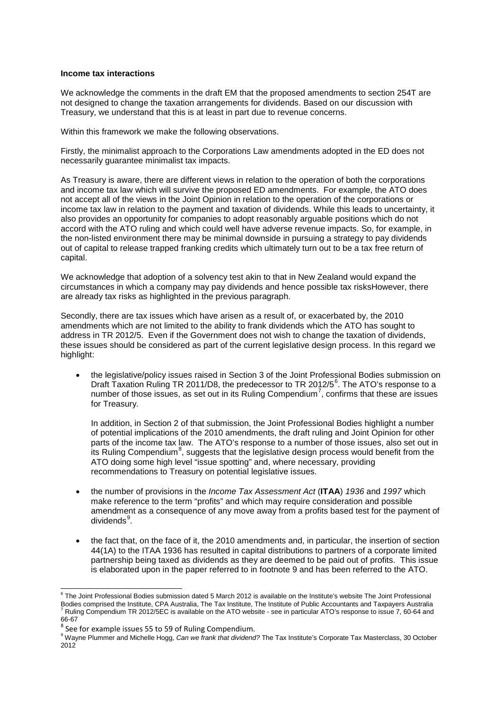# **Income tax interactions**

We acknowledge the comments in the draft EM that the proposed amendments to section 254T are not designed to change the taxation arrangements for dividends. Based on our discussion with Treasury, we understand that this is at least in part due to revenue concerns.

Within this framework we make the following observations.

Firstly, the minimalist approach to the Corporations Law amendments adopted in the ED does not necessarily guarantee minimalist tax impacts.

As Treasury is aware, there are different views in relation to the operation of both the corporations and income tax law which will survive the proposed ED amendments. For example, the ATO does not accept all of the views in the Joint Opinion in relation to the operation of the corporations or income tax law in relation to the payment and taxation of dividends. While this leads to uncertainty, it also provides an opportunity for companies to adopt reasonably arguable positions which do not accord with the ATO ruling and which could well have adverse revenue impacts. So, for example, in the non-listed environment there may be minimal downside in pursuing a strategy to pay dividends out of capital to release trapped franking credits which ultimately turn out to be a tax free return of capital.

We acknowledge that adoption of a solvency test akin to that in New Zealand would expand the circumstances in which a company may pay dividends and hence possible tax risksHowever, there are already tax risks as highlighted in the previous paragraph.

Secondly, there are tax issues which have arisen as a result of, or exacerbated by, the 2010 amendments which are not limited to the ability to frank dividends which the ATO has sought to address in TR 2012/5. Even if the Government does not wish to change the taxation of dividends, these issues should be considered as part of the current legislative design process. In this regard we highlight:

• the legislative/policy issues raised in Section 3 of the Joint Professional Bodies submission on Draft Taxation Ruling TR 2011/D8, the predecessor to TR 2012/5<sup>[6](#page-6-0)</sup>. The ATO's response to a number of those issues, as set out in its Ruling Compendium<sup>[7](#page-6-1)</sup>, confirms that these are issues for Treasury.

In addition, in Section 2 of that submission, the Joint Professional Bodies highlight a number of potential implications of the 2010 amendments, the draft ruling and Joint Opinion for other parts of the income tax law. The ATO's response to a number of those issues, also set out in its Ruling Compendium<sup>[8](#page-6-2)</sup>, suggests that the legislative design process would benefit from the ATO doing some high level "issue spotting" and, where necessary, providing recommendations to Treasury on potential legislative issues.

- the number of provisions in the *Income Tax Assessment Act* (**ITAA**) *1936* and *1997* which make reference to the term "profits" and which may require consideration and possible amendment as a consequence of any move away from a profits based test for the payment of dividends<sup>[9](#page-6-3)</sup>.
- the fact that, on the face of it, the 2010 amendments and, in particular, the insertion of section 44(1A) to the ITAA 1936 has resulted in capital distributions to partners of a corporate limited partnership being taxed as dividends as they are deemed to be paid out of profits. This issue is elaborated upon in the paper referred to in footnote 9 and has been referred to the ATO.

<span id="page-6-1"></span><span id="page-6-0"></span><sup>&</sup>lt;sup>6</sup> The Joint Professional Bodies submission dated 5 March 2012 is available on the Institute's website The Joint Professional<br>Bodies comprised the Institute, CPA Australia, The Tax Institute, The Institute of Public Accou Ruling Compendium TR 2012/5EC is available on the ATO website - see in particular ATO's response to issue 7, 60-64 and 66-67<br><sup>8</sup> See for example issues 55 to 59 of Ruling Compendium.

<span id="page-6-3"></span><span id="page-6-2"></span><sup>9</sup> Wayne Plummer and Michelle Hogg, *Can we frank that dividend?* The Tax Institute's Corporate Tax Masterclass, 30 October 2012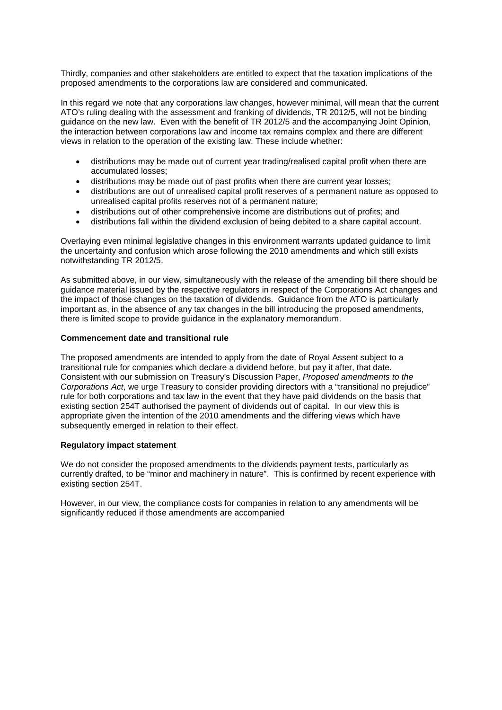Thirdly, companies and other stakeholders are entitled to expect that the taxation implications of the proposed amendments to the corporations law are considered and communicated.

In this regard we note that any corporations law changes, however minimal, will mean that the current ATO's ruling dealing with the assessment and franking of dividends, TR 2012/5, will not be binding guidance on the new law. Even with the benefit of TR 2012/5 and the accompanying Joint Opinion, the interaction between corporations law and income tax remains complex and there are different views in relation to the operation of the existing law. These include whether:

- distributions may be made out of current year trading/realised capital profit when there are accumulated losses;
- distributions may be made out of past profits when there are current year losses;
- distributions are out of unrealised capital profit reserves of a permanent nature as opposed to unrealised capital profits reserves not of a permanent nature;
- distributions out of other comprehensive income are distributions out of profits; and
- distributions fall within the dividend exclusion of being debited to a share capital account.

Overlaying even minimal legislative changes in this environment warrants updated guidance to limit the uncertainty and confusion which arose following the 2010 amendments and which still exists notwithstanding TR 2012/5.

As submitted above, in our view, simultaneously with the release of the amending bill there should be guidance material issued by the respective regulators in respect of the Corporations Act changes and the impact of those changes on the taxation of dividends. Guidance from the ATO is particularly important as, in the absence of any tax changes in the bill introducing the proposed amendments, there is limited scope to provide guidance in the explanatory memorandum.

## **Commencement date and transitional rule**

The proposed amendments are intended to apply from the date of Royal Assent subject to a transitional rule for companies which declare a dividend before, but pay it after, that date. Consistent with our submission on Treasury's Discussion Paper, *Proposed amendments to the Corporations Act*, we urge Treasury to consider providing directors with a "transitional no prejudice" rule for both corporations and tax law in the event that they have paid dividends on the basis that existing section 254T authorised the payment of dividends out of capital. In our view this is appropriate given the intention of the 2010 amendments and the differing views which have subsequently emerged in relation to their effect.

#### **Regulatory impact statement**

We do not consider the proposed amendments to the dividends payment tests, particularly as currently drafted, to be "minor and machinery in nature". This is confirmed by recent experience with existing section 254T.

However, in our view, the compliance costs for companies in relation to any amendments will be significantly reduced if those amendments are accompanied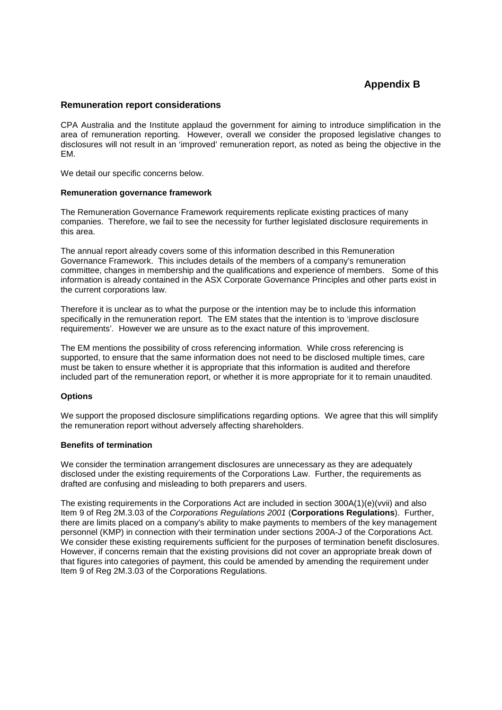# **Appendix B**

# **Remuneration report considerations**

CPA Australia and the Institute applaud the government for aiming to introduce simplification in the area of remuneration reporting. However, overall we consider the proposed legislative changes to disclosures will not result in an 'improved' remuneration report, as noted as being the objective in the EM.

We detail our specific concerns below.

## **Remuneration governance framework**

The Remuneration Governance Framework requirements replicate existing practices of many companies. Therefore, we fail to see the necessity for further legislated disclosure requirements in this area.

The annual report already covers some of this information described in this Remuneration Governance Framework. This includes details of the members of a company's remuneration committee, changes in membership and the qualifications and experience of members. Some of this information is already contained in the ASX Corporate Governance Principles and other parts exist in the current corporations law.

Therefore it is unclear as to what the purpose or the intention may be to include this information specifically in the remuneration report. The EM states that the intention is to 'improve disclosure requirements'. However we are unsure as to the exact nature of this improvement.

The EM mentions the possibility of cross referencing information. While cross referencing is supported, to ensure that the same information does not need to be disclosed multiple times, care must be taken to ensure whether it is appropriate that this information is audited and therefore included part of the remuneration report, or whether it is more appropriate for it to remain unaudited.

# **Options**

We support the proposed disclosure simplifications regarding options. We agree that this will simplify the remuneration report without adversely affecting shareholders.

#### **Benefits of termination**

We consider the termination arrangement disclosures are unnecessary as they are adequately disclosed under the existing requirements of the Corporations Law. Further, the requirements as drafted are confusing and misleading to both preparers and users.

The existing requirements in the Corporations Act are included in section 300A(1)(e)(vvii) and also Item 9 of Reg 2M.3.03 of the *Corporations Regulations 2001* (**Corporations Regulations**). Further, there are limits placed on a company's ability to make payments to members of the key management personnel (KMP) in connection with their termination under sections 200A-J of the Corporations Act. We consider these existing requirements sufficient for the purposes of termination benefit disclosures. However, if concerns remain that the existing provisions did not cover an appropriate break down of that figures into categories of payment, this could be amended by amending the requirement under Item 9 of Reg 2M.3.03 of the Corporations Regulations.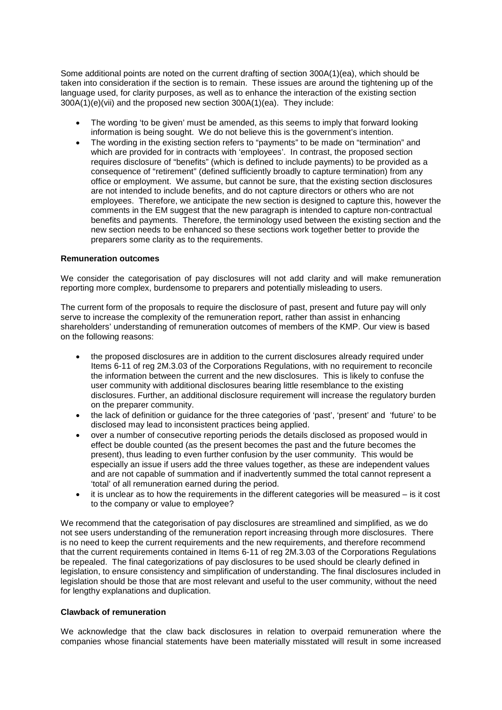Some additional points are noted on the current drafting of section 300A(1)(ea), which should be taken into consideration if the section is to remain. These issues are around the tightening up of the language used, for clarity purposes, as well as to enhance the interaction of the existing section 300A(1)(e)(vii) and the proposed new section 300A(1)(ea). They include:

- The wording 'to be given' must be amended, as this seems to imply that forward looking information is being sought. We do not believe this is the government's intention.
- The wording in the existing section refers to "payments" to be made on "termination" and which are provided for in contracts with 'employees'. In contrast, the proposed section requires disclosure of "benefits" (which is defined to include payments) to be provided as a consequence of "retirement" (defined sufficiently broadly to capture termination) from any office or employment. We assume, but cannot be sure, that the existing section disclosures are not intended to include benefits, and do not capture directors or others who are not employees. Therefore, we anticipate the new section is designed to capture this, however the comments in the EM suggest that the new paragraph is intended to capture non-contractual benefits and payments. Therefore, the terminology used between the existing section and the new section needs to be enhanced so these sections work together better to provide the preparers some clarity as to the requirements.

## **Remuneration outcomes**

We consider the categorisation of pay disclosures will not add clarity and will make remuneration reporting more complex, burdensome to preparers and potentially misleading to users.

The current form of the proposals to require the disclosure of past, present and future pay will only serve to increase the complexity of the remuneration report, rather than assist in enhancing shareholders' understanding of remuneration outcomes of members of the KMP. Our view is based on the following reasons:

- the proposed disclosures are in addition to the current disclosures already required under Items 6-11 of reg 2M.3.03 of the Corporations Regulations, with no requirement to reconcile the information between the current and the new disclosures. This is likely to confuse the user community with additional disclosures bearing little resemblance to the existing disclosures. Further, an additional disclosure requirement will increase the regulatory burden on the preparer community.
- the lack of definition or guidance for the three categories of 'past', 'present' and 'future' to be disclosed may lead to inconsistent practices being applied.
- over a number of consecutive reporting periods the details disclosed as proposed would in effect be double counted (as the present becomes the past and the future becomes the present), thus leading to even further confusion by the user community. This would be especially an issue if users add the three values together, as these are independent values and are not capable of summation and if inadvertently summed the total cannot represent a 'total' of all remuneration earned during the period.
- it is unclear as to how the requirements in the different categories will be measured is it cost to the company or value to employee?

We recommend that the categorisation of pay disclosures are streamlined and simplified, as we do not see users understanding of the remuneration report increasing through more disclosures. There is no need to keep the current requirements and the new requirements, and therefore recommend that the current requirements contained in Items 6-11 of reg 2M.3.03 of the Corporations Regulations be repealed. The final categorizations of pay disclosures to be used should be clearly defined in legislation, to ensure consistency and simplification of understanding. The final disclosures included in legislation should be those that are most relevant and useful to the user community, without the need for lengthy explanations and duplication.

#### **Clawback of remuneration**

We acknowledge that the claw back disclosures in relation to overpaid remuneration where the companies whose financial statements have been materially misstated will result in some increased